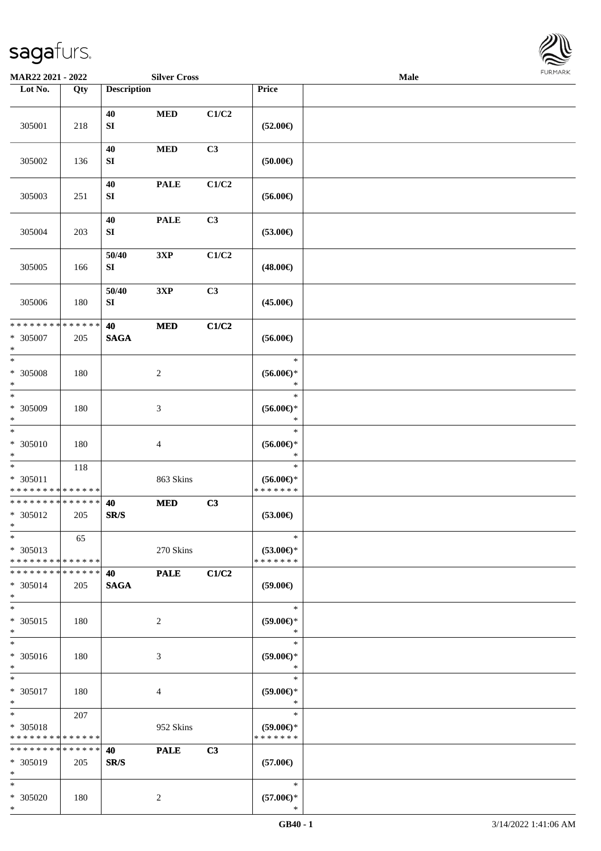

| MAR22 2021 - 2022                                 |                   |                           | <b>Silver Cross</b> |       |                                                | <b>Male</b> |  |
|---------------------------------------------------|-------------------|---------------------------|---------------------|-------|------------------------------------------------|-------------|--|
| Lot No.                                           | $\overline{Q}$ ty | <b>Description</b>        |                     |       | Price                                          |             |  |
|                                                   |                   | 40                        | <b>MED</b>          | C1/C2 |                                                |             |  |
| 305001                                            | 218               | ${\bf S}{\bf I}$          |                     |       | $(52.00\epsilon)$                              |             |  |
| 305002                                            | 136               | 40<br>SI                  | <b>MED</b>          | C3    | (50.00)                                        |             |  |
| 305003                                            | 251               | 40<br>${\bf S}{\bf I}$    | <b>PALE</b>         | C1/C2 | $(56.00\epsilon)$                              |             |  |
| 305004                                            | 203               | 40<br>${\bf SI}$          | <b>PALE</b>         | C3    | $(53.00\epsilon)$                              |             |  |
| 305005                                            | 166               | 50/40<br>${\bf SI}$       | 3XP                 | C1/C2 | $(48.00\epsilon)$                              |             |  |
| 305006                                            | 180               | 50/40<br>${\bf S}{\bf I}$ | 3XP                 | C3    | $(45.00\epsilon)$                              |             |  |
| * * * * * * * * * * * * * *<br>* 305007<br>$\ast$ | 205               | 40<br><b>SAGA</b>         | $\bf MED$           | C1/C2 | $(56.00\epsilon)$                              |             |  |
| $\ast$<br>$* 305008$<br>$\ast$                    | 180               |                           | $\boldsymbol{2}$    |       | $\ast$<br>$(56.00ε)$ *<br>∗                    |             |  |
| $\ast$<br>* 305009<br>$\ast$                      | 180               |                           | $\mathfrak{Z}$      |       | $\ast$<br>$(56.00\epsilon)$ *<br>$\ast$        |             |  |
| $\overline{\ast}$<br>$* 305010$<br>$\ast$         | 180               |                           | $\overline{4}$      |       | $\ast$<br>$(56.00\epsilon)$ *<br>$\ast$        |             |  |
| $\ast$<br>* 305011<br>* * * * * * * * * * * * * * | 118               |                           | 863 Skins           |       | $\ast$<br>$(56.00ε)$ *<br>* * * * * * *        |             |  |
| * * * * * * * * * * * * * *<br>* 305012<br>$*$    | 205               | 40<br>SR/S                | <b>MED</b>          | C3    | $(53.00\epsilon)$                              |             |  |
| $\ast$<br>* 305013<br>* * * * * * * * * * * * * * | 65                |                           | 270 Skins           |       | $\ast$<br>$(53.00\epsilon)$ *<br>* * * * * * * |             |  |
| * * * * * * * * * * * * * *<br>* 305014<br>$*$    | 205               | 40<br><b>SAGA</b>         | <b>PALE</b>         | C1/C2 | $(59.00\epsilon)$                              |             |  |
| $\ast$<br>$* 305015$<br>$*$                       | 180               |                           | $\sqrt{2}$          |       | $\ast$<br>$(59.00\epsilon)$ *<br>$\ast$        |             |  |
| $\ast$<br>$* 305016$<br>$*$                       | 180               |                           | 3                   |       | $\ast$<br>(59.00)<br>$\ast$                    |             |  |
| $\ast$<br>* 305017<br>$*$                         | 180               |                           | $\overline{4}$      |       | $\ast$<br>$(59.00\epsilon)$ *<br>$\ast$        |             |  |
| $*$<br>* 305018<br>* * * * * * * * * * * * * *    | 207               |                           | 952 Skins           |       | $\ast$<br>$(59.00\epsilon)$ *<br>* * * * * * * |             |  |
| * * * * * * * * * * * * * *<br>* 305019<br>$*$    | 205               | 40<br>SR/S                | <b>PALE</b>         | C3    | $(57.00\epsilon)$                              |             |  |
| $*$<br>* 305020<br>$*$                            | 180               |                           | $\overline{c}$      |       | $\ast$<br>$(57.00\epsilon)$ *<br>∗             |             |  |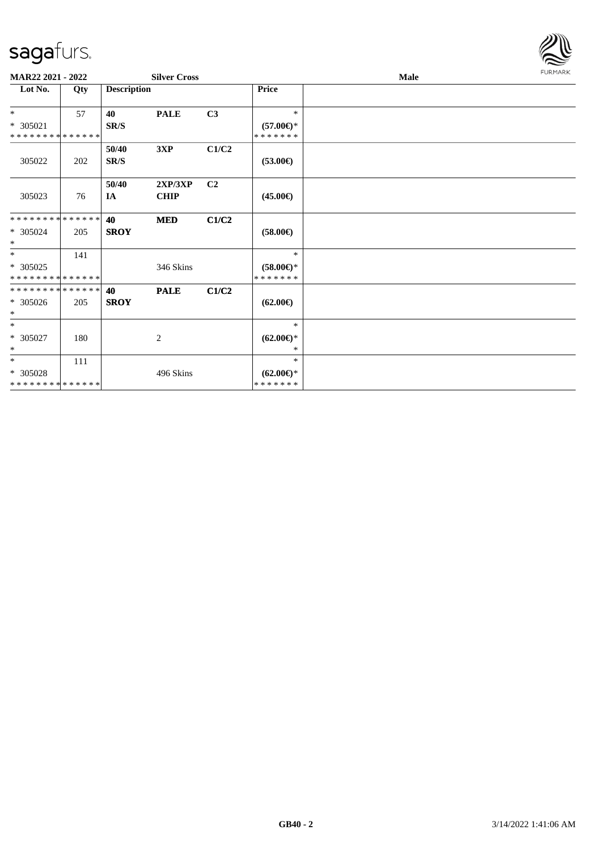

| MAR22 2021 - 2022           |     |                    | <b>Silver Cross</b> |                |                     | <b>Male</b> | <b>FURMARK</b> |
|-----------------------------|-----|--------------------|---------------------|----------------|---------------------|-------------|----------------|
| Lot No.                     | Qty | <b>Description</b> |                     |                | Price               |             |                |
| $*$                         | 57  | 40                 | <b>PALE</b>         | C3             | $\ast$              |             |                |
| $* 305021$                  |     | SR/S               |                     |                | $(57.00\epsilon)$ * |             |                |
| * * * * * * * * * * * * * * |     |                    |                     |                | * * * * * * *       |             |                |
|                             |     | 50/40              | 3XP                 | C1/C2          |                     |             |                |
| 305022                      | 202 | SR/S               |                     |                | $(53.00\epsilon)$   |             |                |
|                             |     |                    |                     | C <sub>2</sub> |                     |             |                |
|                             |     | 50/40              | 2XP/3XP             |                |                     |             |                |
| 305023                      | 76  | IA                 | <b>CHIP</b>         |                | $(45.00\epsilon)$   |             |                |
| **************              |     | 40                 | <b>MED</b>          | C1/C2          |                     |             |                |
| * 305024                    | 205 | <b>SROY</b>        |                     |                | $(58.00\epsilon)$   |             |                |
| $\ast$                      |     |                    |                     |                |                     |             |                |
| $*$                         | 141 |                    |                     |                | $\ast$              |             |                |
| $* 305025$                  |     |                    | 346 Skins           |                | $(58.00\epsilon)$ * |             |                |
| **************              |     |                    |                     |                | * * * * * * *       |             |                |
| * * * * * * * * * * * * * * |     | 40                 | <b>PALE</b>         | C1/C2          |                     |             |                |
| $* 305026$                  | 205 | <b>SROY</b>        |                     |                | $(62.00\epsilon)$   |             |                |
| $\ast$                      |     |                    |                     |                |                     |             |                |
| $*$                         |     |                    |                     |                | $\ast$              |             |                |
| * 305027                    | 180 |                    | 2                   |                | $(62.00\epsilon)$ * |             |                |
| $\ast$                      |     |                    |                     |                | $*$                 |             |                |
| $\ast$                      | 111 |                    |                     |                | $*$                 |             |                |
| * 305028                    |     |                    | 496 Skins           |                | $(62.00\epsilon)$ * |             |                |
| * * * * * * * * * * * * * * |     |                    |                     |                | * * * * * * *       |             |                |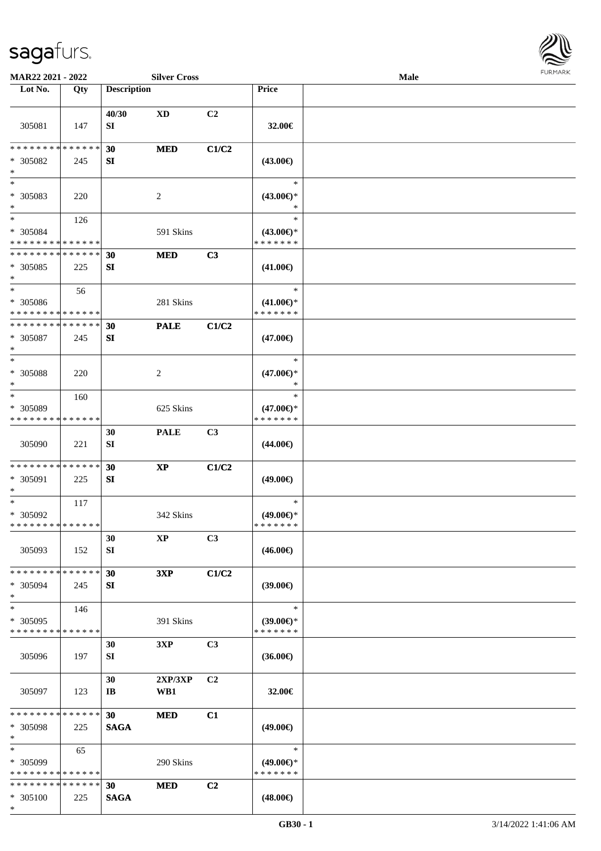\*



| MAR22 2021 - 2022                                   |     |                                | <b>Silver Cross</b>    |                |                                                      | Male |  |
|-----------------------------------------------------|-----|--------------------------------|------------------------|----------------|------------------------------------------------------|------|--|
| Lot No.                                             | Qty | <b>Description</b>             |                        |                | Price                                                |      |  |
| 305081                                              | 147 | 40/30<br>SI                    | <b>XD</b>              | C2             | 32.00€                                               |      |  |
| * * * * * * * * * * * * * *<br>* 305082<br>$\ast$   | 245 | 30<br>SI                       | <b>MED</b>             | C1/C2          | $(43.00\epsilon)$                                    |      |  |
| $\overline{\phantom{1}}$<br>$* 305083$<br>$\ast$    | 220 |                                | 2                      |                | $\ast$<br>$(43.00\epsilon)$ *                        |      |  |
| $\ast$<br>* 305084<br>* * * * * * * * * * * * * *   | 126 |                                | 591 Skins              |                | $\ast$<br>$(43.00\epsilon)$ *<br>* * * * * * *       |      |  |
| * * * * * * * * * * * * * *<br>* 305085<br>$\ast$   | 225 | 30<br>SI                       | <b>MED</b>             | C3             | $(41.00\epsilon)$                                    |      |  |
| $\ast$<br>* 305086<br>* * * * * * * * * * * * * *   | 56  |                                | 281 Skins              |                | $\ast$<br>$(41.00\epsilon)$ *<br>* * * * * * *       |      |  |
| * * * * * * * * * * * * * *<br>* 305087<br>$\ast$   | 245 | 30<br>SI                       | <b>PALE</b>            | C1/C2          | $(47.00\epsilon)$                                    |      |  |
| $\ast$<br>$* 305088$<br>$\ast$                      | 220 |                                | 2                      |                | $\ast$<br>$(47.00\epsilon)$ *<br>*                   |      |  |
| $\ast$<br>* 305089<br>* * * * * * * * * * * * * *   | 160 |                                | 625 Skins              |                | $\ast$<br>$(47.00\epsilon)$ *<br>* * * * * * *       |      |  |
| 305090                                              | 221 | 30<br>SI                       | <b>PALE</b>            | C3             | $(44.00\epsilon)$                                    |      |  |
| * * * * * * * * * * * * * *<br>* 305091<br>$\ast$   | 225 | 30<br>SI                       | $\mathbf{X}\mathbf{P}$ | C1/C2          | $(49.00\epsilon)$                                    |      |  |
| $\ast$<br>* 305092<br>**************                | 117 |                                | 342 Skins              |                | $\ast$<br>$(49.00\epsilon)$ *<br>* * * * * * *       |      |  |
| 305093                                              | 152 | 30<br>SI                       | XP                     | C3             | $(46.00\epsilon)$                                    |      |  |
| * * * * * * * * * * * * * *<br>* 305094<br>$\ast$   | 245 | 30<br>SI                       | 3XP                    | C1/C2          | $(39.00\epsilon)$                                    |      |  |
| $\ast$<br>* 305095<br>* * * * * * * * * * * * * *   | 146 |                                | 391 Skins              |                | $\ast$<br>$(39.00\epsilon)$ *<br>* * * * * * *       |      |  |
| 305096                                              | 197 | 30<br>SI                       | 3XP                    | C3             | $(36.00\epsilon)$                                    |      |  |
| 305097                                              | 123 | 30<br>IB                       | 2XP/3XP<br>WB1         | C2             | 32.00€                                               |      |  |
| * * * * * * * * * * * * * *<br>* 305098<br>$\ast$   | 225 | 30 <sup>°</sup><br><b>SAGA</b> | <b>MED</b>             | C1             | $(49.00\epsilon)$                                    |      |  |
| $\ast$<br>$* 305099$<br>* * * * * * * * * * * * * * | 65  |                                | 290 Skins              |                | $\ast$<br>$(49.00 \in \mathcal{F})$<br>* * * * * * * |      |  |
| * * * * * * * * * * * * * *<br>* 305100             | 225 | 30<br><b>SAGA</b>              | <b>MED</b>             | C <sub>2</sub> | $(48.00\epsilon)$                                    |      |  |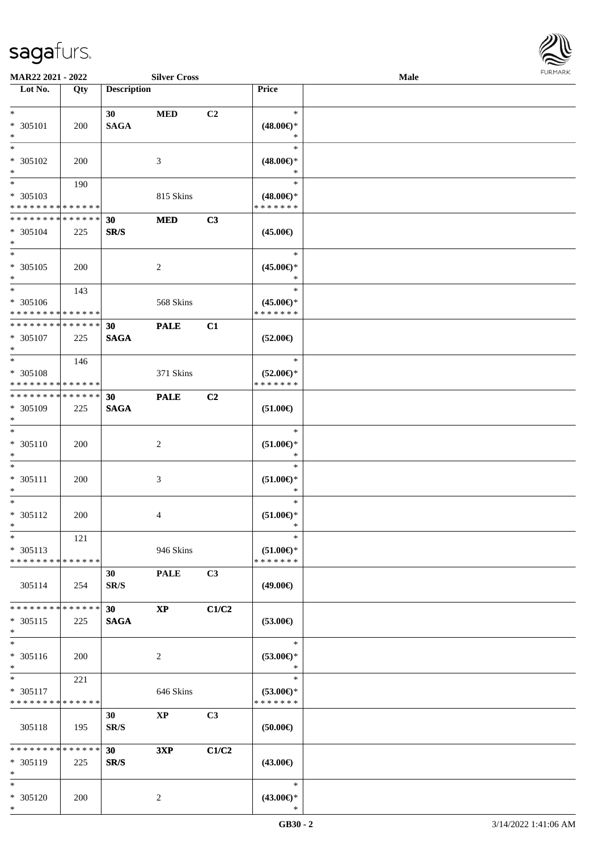

| MAR22 2021 - 2022                                                   |                    |                         | <b>Silver Cross</b> |                |                                                                        | Male |  |
|---------------------------------------------------------------------|--------------------|-------------------------|---------------------|----------------|------------------------------------------------------------------------|------|--|
| Lot No.                                                             | Qty                | <b>Description</b>      |                     |                | Price                                                                  |      |  |
| $*$<br>* 305101<br>$\ast$                                           | 200                | 30<br><b>SAGA</b>       | <b>MED</b>          | C2             | $\ast$<br>$(48.00\epsilon)$ *<br>$\ast$                                |      |  |
| $*$<br>* 305102<br>$\ast$                                           | 200                |                         | 3                   |                | $\ast$<br>$(48.00\epsilon)$ *<br>$\ast$                                |      |  |
| $\overline{\phantom{0}}$<br>* 305103<br>* * * * * * * * * * * * * * | 190                |                         | 815 Skins           |                | $\ast$<br>$(48.00\epsilon)$ *<br>* * * * * * *                         |      |  |
| * * * * * * * * * * * * * *<br>* 305104<br>$*$                      | 225                | 30<br>SR/S              | <b>MED</b>          | C3             | $(45.00\epsilon)$                                                      |      |  |
| $*$<br>$* 305105$<br>$*$                                            | 200                |                         | $\overline{2}$      |                | $\ast$<br>$(45.00\epsilon)$ *<br>$\ast$                                |      |  |
| $*$<br>$* 305106$<br>* * * * * * * * * * * * * *                    | 143                |                         | 568 Skins           |                | $\ast$<br>$(45.00\epsilon)$ *<br>* * * * * * *                         |      |  |
| * * * * * * * * * * * * * *<br>$* 305107$<br>$*$                    | 225                | 30<br><b>SAGA</b>       | <b>PALE</b>         | C1             | $(52.00\epsilon)$                                                      |      |  |
| $*$<br>* 305108<br>* * * * * * * * * * * * * *                      | 146                |                         | 371 Skins           |                | $\ast$<br>$(52.00\epsilon)$ *<br>* * * * * * *                         |      |  |
| * * * * * * * * * * * * * *<br>* 305109<br>$*$                      | 225                | 30<br><b>SAGA</b>       | <b>PALE</b>         | C2             | $(51.00\in)$                                                           |      |  |
| $*$<br>$* 305110$<br>$*$                                            | 200                |                         | $\overline{c}$      |                | $\ast$<br>$(51.00\mathnormal{\in}\mathcal{)^{\! \! \times}}$<br>$\ast$ |      |  |
| $*$<br>$* 305111$<br>$\ast$                                         | 200                |                         | $\mathfrak{Z}$      |                | $\ast$<br>$(51.00\mathnormal{\infty})^*$<br>$\ast$                     |      |  |
| $*$<br>$* 305112$<br>$*$                                            | 200                |                         | 4                   |                | $\ast$<br>$(51.00\epsilon)$ *<br>$\ast$                                |      |  |
| $*$<br>$* 305113$<br>* * * * * * * * * * * * * *                    | 121                |                         | 946 Skins           |                | $\ast$<br>$(51.00\epsilon)$ *<br>* * * * * * *                         |      |  |
| 305114                                                              | 254                | 30<br>SR/S              | <b>PALE</b>         | C3             | $(49.00\epsilon)$                                                      |      |  |
| * * * * * * * *<br>$* 305115$<br>$*$                                | * * * * * *<br>225 | 30<br><b>SAGA</b>       | <b>XP</b>           | C1/C2          | $(53.00\epsilon)$                                                      |      |  |
| $\ast$<br>* 305116<br>$*$                                           | 200                |                         | $\overline{2}$      |                | $\ast$<br>$(53.00\epsilon)$ *<br>$\ast$                                |      |  |
| $*$ $*$<br>* 305117<br>* * * * * * * * * * * * * *                  | 221                |                         | 646 Skins           |                | $\ast$<br>$(53.00\epsilon)$ *<br>* * * * * * *                         |      |  |
| 305118                                                              | 195                | 30<br>SR/S              | <b>XP</b>           | C <sub>3</sub> | $(50.00\in)$                                                           |      |  |
| * * * * * * * * * * * * * *<br>* 305119<br>$*$                      | 225                | 30 <sup>°</sup><br>SR/S | 3XP                 | C1/C2          | $(43.00\epsilon)$                                                      |      |  |
| $*$<br>* 305120<br>$*$                                              | 200                |                         | 2                   |                | $\ast$<br>$(43.00\epsilon)$ *<br>$\ast$                                |      |  |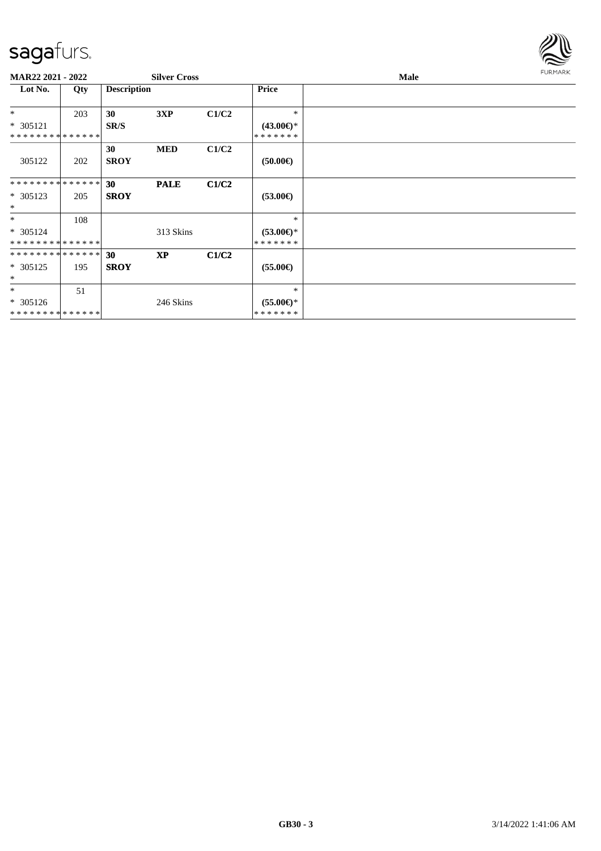

| <b>MAR22 2021 - 2022</b>                  |     |                    | <b>Silver Cross</b> |       |                                      | Male | <b>FURMARK</b> |
|-------------------------------------------|-----|--------------------|---------------------|-------|--------------------------------------|------|----------------|
| Lot No.                                   | Qty | <b>Description</b> |                     |       | Price                                |      |                |
| $*$                                       | 203 | 30                 | 3XP                 | C1/C2 | $\ast$                               |      |                |
| $* 305121$                                |     | SR/S               |                     |       | $(43.00\epsilon)$ *                  |      |                |
| * * * * * * * * * * * * * * *             |     |                    |                     |       | * * * * * * *                        |      |                |
| 305122                                    | 202 | 30<br><b>SROY</b>  | <b>MED</b>          | C1/C2 | $(50.00\epsilon)$                    |      |                |
| **************                            |     | 30                 | <b>PALE</b>         | C1/C2 |                                      |      |                |
| * 305123<br>$\ast$                        | 205 | <b>SROY</b>        |                     |       | $(53.00\epsilon)$                    |      |                |
| $\ast$                                    | 108 |                    |                     |       | $\ast$                               |      |                |
| * 305124<br>**************                |     |                    | 313 Skins           |       | $(53.00\epsilon)$ *<br>* * * * * * * |      |                |
| **************                            |     | 30                 | <b>XP</b>           | C1/C2 |                                      |      |                |
| * 305125<br>$\ast$                        | 195 | <b>SROY</b>        |                     |       | $(55.00\epsilon)$                    |      |                |
| $*$                                       | 51  |                    |                     |       | $\ast$                               |      |                |
| * 305126<br>* * * * * * * * * * * * * * * |     |                    | 246 Skins           |       | $(55.00\epsilon)$ *<br>*******       |      |                |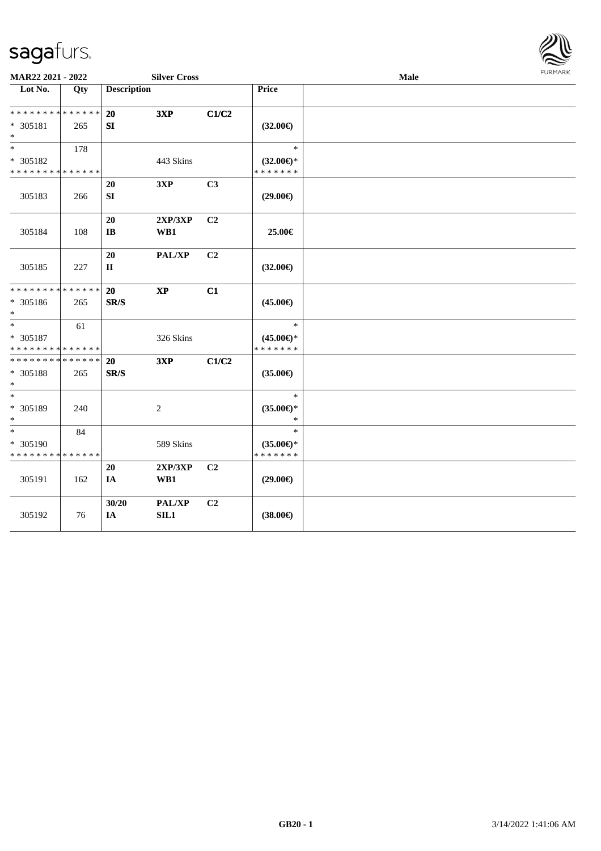

| MAR22 2021 - 2022                                 |     |                                | <b>Silver Cross</b>    |                |                                                | Male | <b>FURMARK</b> |
|---------------------------------------------------|-----|--------------------------------|------------------------|----------------|------------------------------------------------|------|----------------|
| Lot No.                                           | Qty | <b>Description</b>             |                        |                | Price                                          |      |                |
| * * * * * * * * * * * * * *<br>* 305181<br>$\ast$ | 265 | 20<br>SI                       | 3XP                    | C1/C2          | $(32.00\epsilon)$                              |      |                |
| $\ast$<br>* 305182<br>* * * * * * * * * * * * * * | 178 |                                | 443 Skins              |                | $\ast$<br>$(32.00\epsilon)$ *<br>* * * * * * * |      |                |
| 305183                                            | 266 | 20<br>SI                       | 3XP                    | C3             | $(29.00\epsilon)$                              |      |                |
| 305184                                            | 108 | 20<br>$\mathbf{I}\mathbf{B}$   | 2XP/3XP<br>WB1         | C2             | 25.00€                                         |      |                |
| 305185                                            | 227 | 20<br>$\mathbf{I}$             | PAL/XP                 | C <sub>2</sub> | $(32.00\epsilon)$                              |      |                |
| * * * * * * * * * * * * * *<br>* 305186<br>$\ast$ | 265 | 20<br>$\mathbf{SR}/\mathbf{S}$ | $\mathbf{X}\mathbf{P}$ | C1             | $(45.00\epsilon)$                              |      |                |
| $\ast$<br>* 305187<br>* * * * * * * * * * * * * * | 61  |                                | 326 Skins              |                | $\ast$<br>$(45.00\epsilon)$ *<br>* * * * * * * |      |                |
| * * * * * * * * * * * * * *<br>* 305188<br>$\ast$ | 265 | 20<br>SR/S                     | 3XP                    | C1/C2          | $(35.00\epsilon)$                              |      |                |
| $\ast$<br>* 305189<br>$\ast$                      | 240 |                                | $\overline{c}$         |                | $\ast$<br>$(35.00\epsilon)$ *<br>$\ast$        |      |                |
| $*$<br>* 305190<br>* * * * * * * * * * * * * *    | 84  |                                | 589 Skins              |                | $\ast$<br>$(35.00\epsilon)$ *<br>* * * * * * * |      |                |
| 305191                                            | 162 | 20<br>IA                       | 2XP/3XP<br>WB1         | C <sub>2</sub> | $(29.00\epsilon)$                              |      |                |
| 305192                                            | 76  | 30/20<br>IA                    | PAL/XP<br>SL1          | C <sub>2</sub> | $(38.00\epsilon)$                              |      |                |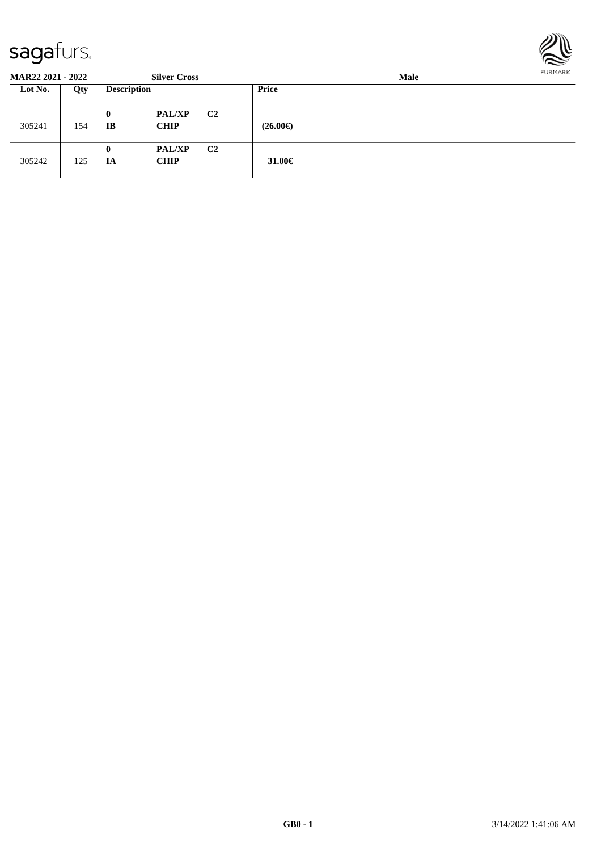

| <b>MAR22 2021 - 2022</b> |     |                    | <b>Silver Cross</b>          |                | Male              |  |  |  |
|--------------------------|-----|--------------------|------------------------------|----------------|-------------------|--|--|--|
| Lot No.                  | Qty | <b>Description</b> |                              |                | Price             |  |  |  |
| 305241                   | 154 | 0<br>IB            | <b>PAL/XP</b><br><b>CHIP</b> | C <sub>2</sub> | $(26.00\epsilon)$ |  |  |  |
| 305242                   | 125 | 0<br>IA            | <b>PAL/XP</b><br><b>CHIP</b> | C <sub>2</sub> | 31.00 $\in$       |  |  |  |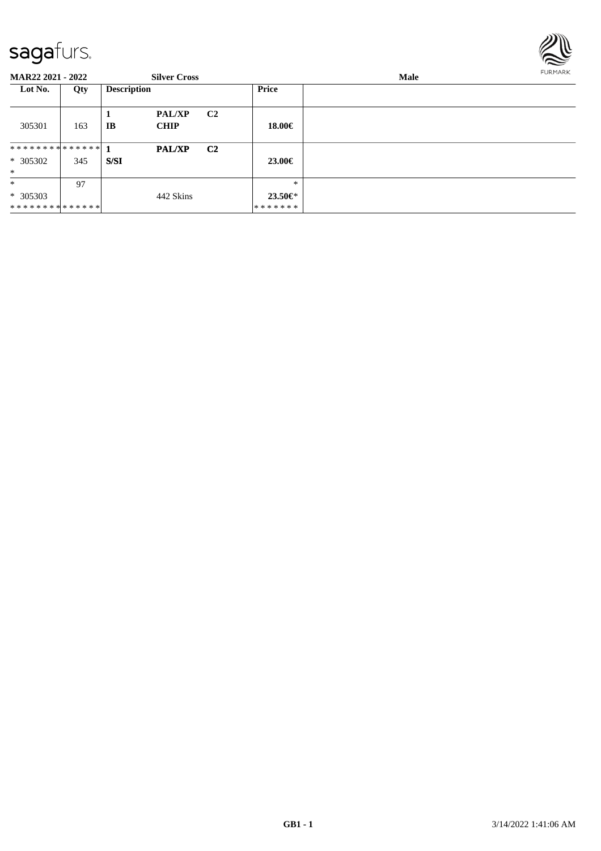

| <b>MAR22 2021 - 2022</b>               |     |                    | <b>Silver Cross</b>          |                |                               | Male | <b>FURMARK</b> |
|----------------------------------------|-----|--------------------|------------------------------|----------------|-------------------------------|------|----------------|
| Lot No.                                | Qty | <b>Description</b> |                              |                | <b>Price</b>                  |      |                |
| 305301                                 | 163 | IB                 | <b>PAL/XP</b><br><b>CHIP</b> | C <sub>2</sub> | 18.00€                        |      |                |
| $* 305302$<br>$\ast$                   | 345 | S/SI               | <b>PAL/XP</b>                | C <sub>2</sub> | 23.00€                        |      |                |
| $\ast$<br>$* 305303$<br>************** | 97  |                    | 442 Skins                    |                | $*$<br>$23.50 \in$<br>******* |      |                |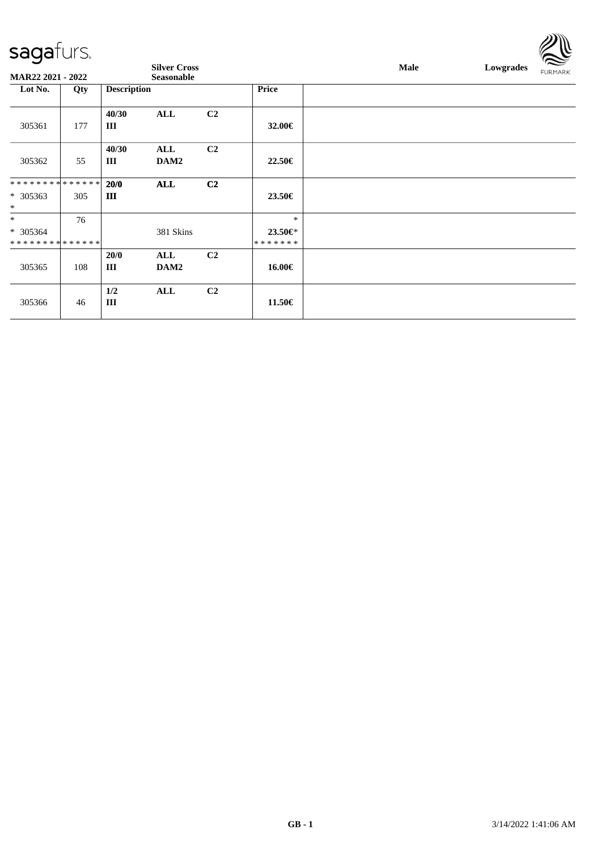| -- 9 - 1 - 1 - 1            |     |                    |                     |                |               |             |           | $\approx$      |
|-----------------------------|-----|--------------------|---------------------|----------------|---------------|-------------|-----------|----------------|
|                             |     |                    | <b>Silver Cross</b> |                |               | <b>Male</b> | Lowgrades | <b>FURMARK</b> |
| <b>MAR22 2021 - 2022</b>    |     |                    | <b>Seasonable</b>   |                |               |             |           |                |
| Lot No.                     | Qty | <b>Description</b> |                     |                | <b>Price</b>  |             |           |                |
|                             |     |                    |                     |                |               |             |           |                |
|                             |     | 40/30              | ALL                 | C <sub>2</sub> |               |             |           |                |
| 305361                      | 177 | Ш                  |                     |                | 32.00€        |             |           |                |
|                             |     |                    |                     |                |               |             |           |                |
|                             |     | 40/30              | ALL                 | C <sub>2</sub> |               |             |           |                |
| 305362                      | 55  | Ш                  | DAM2                |                | 22.50€        |             |           |                |
|                             |     |                    |                     |                |               |             |           |                |
| * * * * * * * * * * * * * * |     | 20/0               | ALL                 | C <sub>2</sub> |               |             |           |                |
| * 305363                    | 305 | Ш                  |                     |                | 23.50€        |             |           |                |
| $\ast$                      |     |                    |                     |                |               |             |           |                |
| $\ast$                      | 76  |                    |                     |                | $\ast$        |             |           |                |
| * 305364                    |     |                    | 381 Skins           |                | 23.50€*       |             |           |                |
| * * * * * * * * * * * * * * |     |                    |                     |                | * * * * * * * |             |           |                |
|                             |     | 20/0               | ALL                 | C <sub>2</sub> |               |             |           |                |
| 305365                      | 108 | Ш                  | DAM2                |                | 16.00€        |             |           |                |
|                             |     |                    |                     |                |               |             |           |                |
|                             |     | 1/2                | ALL                 | C <sub>2</sub> |               |             |           |                |
| 305366                      | 46  | III                |                     |                | 11.50€        |             |           |                |
|                             |     |                    |                     |                |               |             |           |                |

 $\mathbb{Z} \mathbb{R}$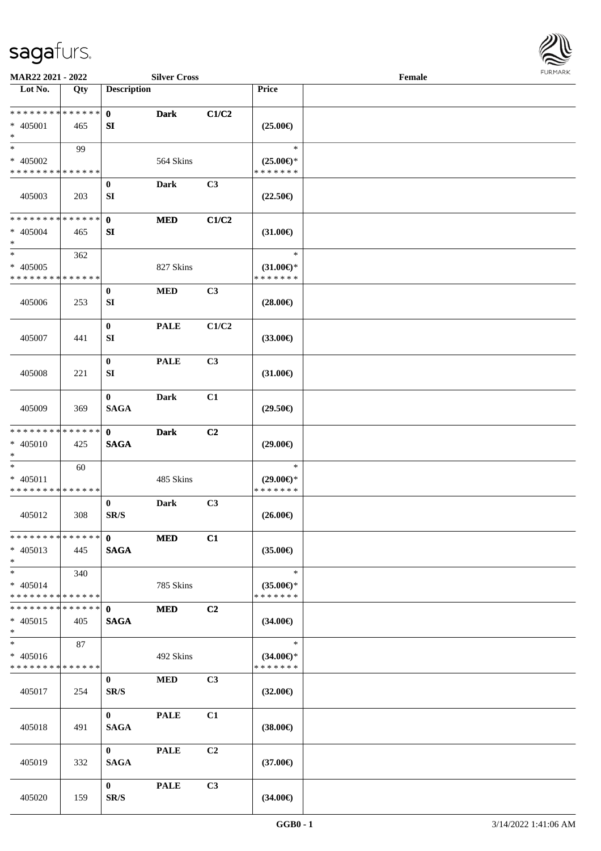

| MAR22 2021 - 2022                                                     |     |                             | <b>Silver Cross</b> |                |                                                | Female |  |
|-----------------------------------------------------------------------|-----|-----------------------------|---------------------|----------------|------------------------------------------------|--------|--|
| Lot No.                                                               | Qty | <b>Description</b>          |                     |                | <b>Price</b>                                   |        |  |
| **************<br>* 405001<br>$\ast$                                  | 465 | $\mathbf{0}$<br>SI          | <b>Dark</b>         | C1/C2          | $(25.00\epsilon)$                              |        |  |
| $\ast$<br>* 405002<br>* * * * * * * * * * * * * *                     | 99  |                             | 564 Skins           |                | $\ast$<br>$(25.00\epsilon)$ *<br>* * * * * * * |        |  |
| 405003                                                                | 203 | $\bf{0}$<br>SI              | <b>Dark</b>         | C3             | $(22.50\epsilon)$                              |        |  |
| * * * * * * * * * * * * * *<br>* 405004<br>$\ast$                     | 465 | $\mathbf{0}$<br>SI          | <b>MED</b>          | C1/C2          | $(31.00\epsilon)$                              |        |  |
| $\ast$<br>$* 405005$<br>* * * * * * * * * * * * * *                   | 362 |                             | 827 Skins           |                | $\ast$<br>$(31.00\epsilon)$ *<br>* * * * * * * |        |  |
| 405006                                                                | 253 | $\bf{0}$<br>SI              | <b>MED</b>          | C3             | $(28.00\epsilon)$                              |        |  |
| 405007                                                                | 441 | $\bf{0}$<br>SI              | <b>PALE</b>         | C1/C2          | $(33.00\epsilon)$                              |        |  |
| 405008                                                                | 221 | $\bf{0}$<br><b>SI</b>       | <b>PALE</b>         | C3             | $(31.00\epsilon)$                              |        |  |
| 405009                                                                | 369 | $\bf{0}$<br><b>SAGA</b>     | <b>Dark</b>         | C1             | $(29.50\epsilon)$                              |        |  |
| * * * * * * * * * * * * * *<br>$* 405010$<br>$\ast$                   | 425 | $\mathbf{0}$<br><b>SAGA</b> | <b>Dark</b>         | C2             | $(29.00\epsilon)$                              |        |  |
| $\ast$<br>$* 405011$<br>* * * * * * * * * * * * * *                   | 60  |                             | 485 Skins           |                | $\ast$<br>$(29.00\epsilon)$ *<br>* * * * * * * |        |  |
| 405012                                                                | 308 | $\bf{0}$<br>SR/S            | <b>Dark</b>         | C3             | $(26.00\epsilon)$                              |        |  |
| * * * * * * * * * * * * * * *<br>$* 405013$<br>$*$                    | 445 | $\mathbf{0}$<br><b>SAGA</b> | <b>MED</b>          | C1             | $(35.00\epsilon)$                              |        |  |
| $*$<br>$* 405014$<br>* * * * * * * * * * * * * *                      | 340 |                             | 785 Skins           |                | $\ast$<br>$(35.00\epsilon)$ *<br>* * * * * * * |        |  |
| * * * * * * * * * * * * * * *<br>$* 405015$<br>$*$                    | 405 | $\mathbf{0}$<br><b>SAGA</b> | <b>MED</b>          | C <sub>2</sub> | $(34.00\epsilon)$                              |        |  |
| $\overline{\phantom{1}}$<br>$* 405016$<br>* * * * * * * * * * * * * * | 87  |                             | 492 Skins           |                | $\ast$<br>$(34.00\epsilon)$ *<br>* * * * * * * |        |  |
| 405017                                                                | 254 | $\mathbf{0}$<br>SR/S        | <b>MED</b>          | C3             | $(32.00\epsilon)$                              |        |  |
| 405018                                                                | 491 | $\mathbf{0}$<br><b>SAGA</b> | <b>PALE</b>         | C1             | $(38.00\epsilon)$                              |        |  |
| 405019                                                                | 332 | $\mathbf{0}$<br><b>SAGA</b> | <b>PALE</b>         | C2             | $(37.00\epsilon)$                              |        |  |
| 405020                                                                | 159 | $\mathbf{0}$<br>SR/S        | <b>PALE</b>         | C3             | $(34.00\epsilon)$                              |        |  |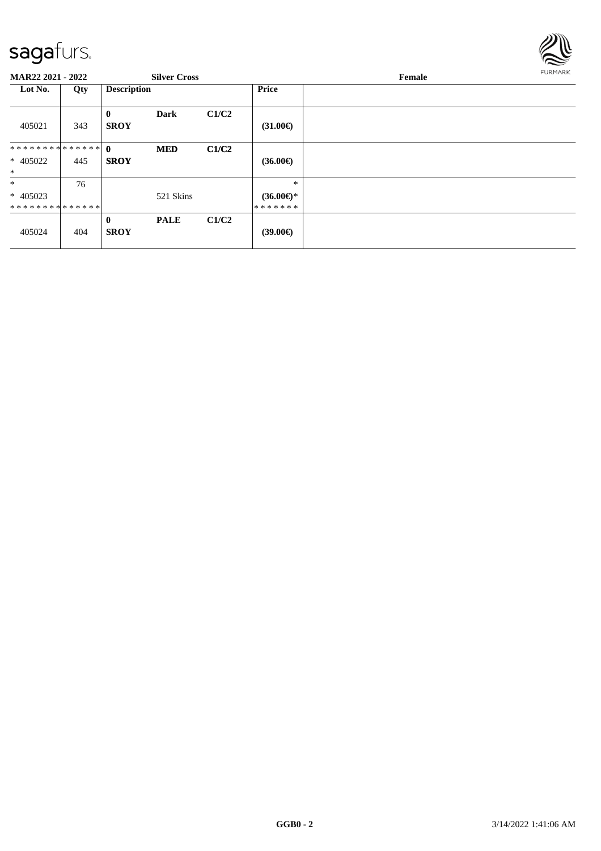

| <b>MAR22 2021 - 2022</b>               |     |                             | <b>Silver Cross</b> |       |                                          | Female | <b>FURMARK</b> |
|----------------------------------------|-----|-----------------------------|---------------------|-------|------------------------------------------|--------|----------------|
| Lot No.                                | Qty | <b>Description</b>          |                     |       | Price                                    |        |                |
| 405021                                 | 343 | $\bf{0}$<br><b>SROY</b>     | <b>Dark</b>         | C1/C2 | $(31.00\epsilon)$                        |        |                |
| ************** 0<br>* 405022<br>$\ast$ | 445 | <b>SROY</b>                 | <b>MED</b>          | C1/C2 | $(36.00\epsilon)$                        |        |                |
| $\ast$<br>$* 405023$<br>************** | 76  |                             | 521 Skins           |       | $\ast$<br>$(36.00\epsilon)$ *<br>******* |        |                |
| 405024                                 | 404 | $\mathbf{0}$<br><b>SROY</b> | <b>PALE</b>         | C1/C2 | $(39.00\epsilon)$                        |        |                |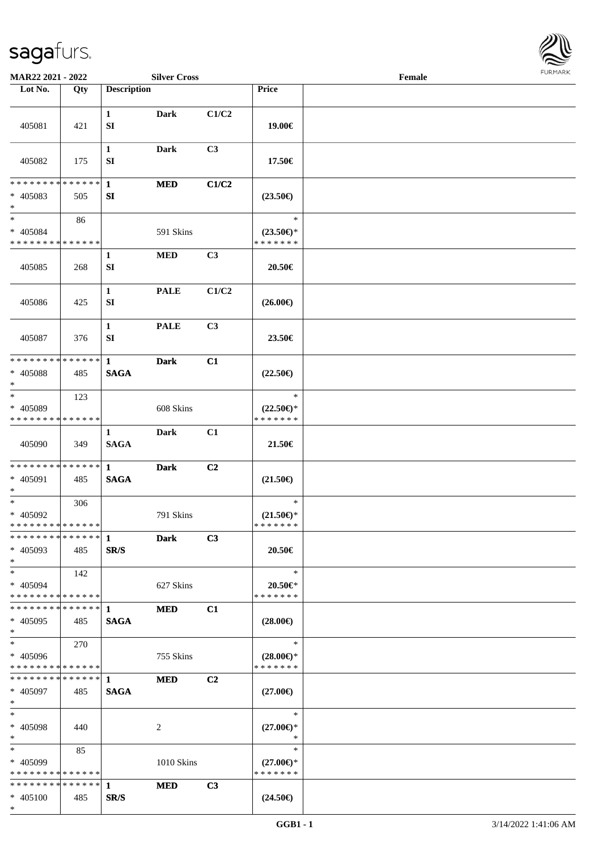

| MAR22 2021 - 2022                                    |     |                             | <b>Silver Cross</b> |       |                                                | Female |  |
|------------------------------------------------------|-----|-----------------------------|---------------------|-------|------------------------------------------------|--------|--|
| Lot No.                                              | Qty | <b>Description</b>          |                     |       | Price                                          |        |  |
| 405081                                               | 421 | $\mathbf{1}$<br>SI          | <b>Dark</b>         | C1/C2 | 19.00€                                         |        |  |
| 405082                                               | 175 | $\mathbf{1}$<br>SI          | Dark                | C3    | 17.50€                                         |        |  |
| * * * * * * * * * * * * * *<br>$* 405083$<br>$*$     | 505 | $\mathbf{1}$<br>SI          | <b>MED</b>          | C1/C2 | $(23.50\epsilon)$                              |        |  |
| $\ast$<br>$* 405084$<br>* * * * * * * * * * * * * *  | 86  |                             | 591 Skins           |       | $\ast$<br>$(23.50\epsilon)$ *<br>* * * * * * * |        |  |
| 405085                                               | 268 | $\mathbf{1}$<br>SI          | $\bf MED$           | C3    | 20.50€                                         |        |  |
| 405086                                               | 425 | $\mathbf{1}$<br>SI          | <b>PALE</b>         | C1/C2 | $(26.00\epsilon)$                              |        |  |
| 405087                                               | 376 | $\mathbf{1}$<br>SI          | <b>PALE</b>         | C3    | 23.50€                                         |        |  |
| * * * * * * * * * * * * * *<br>* 405088<br>$*$       | 485 | $\mathbf{1}$<br><b>SAGA</b> | <b>Dark</b>         | C1    | $(22.50\epsilon)$                              |        |  |
| $\ast$<br>* 405089<br>* * * * * * * * * * * * * *    | 123 |                             | 608 Skins           |       | $\ast$<br>$(22.50\epsilon)$ *<br>* * * * * * * |        |  |
| 405090                                               | 349 | 1<br><b>SAGA</b>            | <b>Dark</b>         | C1    | 21.50€                                         |        |  |
| * * * * * * * * * * * * * * *<br>* 405091<br>$*$     | 485 | $\mathbf{1}$<br><b>SAGA</b> | <b>Dark</b>         | C2    | $(21.50\epsilon)$                              |        |  |
| $*$<br>* 405092<br>* * * * * * * * * * * * * *       | 306 |                             | 791 Skins           |       | $\ast$<br>$(21.50\epsilon)$ *<br>* * * * * * * |        |  |
| **************<br>* 405093<br>$*$                    | 485 | $\mathbf{1}$<br>SR/S        | <b>Dark</b>         | C3    | 20.50€                                         |        |  |
| $*$<br>$* 405094$<br>* * * * * * * * * * * * * *     | 142 |                             | 627 Skins           |       | $\ast$<br>20.50€*<br>* * * * * * *             |        |  |
| * * * * * * * * * * * * * * *<br>* 405095<br>$*$     | 485 | 1<br><b>SAGA</b>            | <b>MED</b>          | C1    | $(28.00\epsilon)$                              |        |  |
| $*$<br>* 405096<br>* * * * * * * * * * * * * *       | 270 |                             | 755 Skins           |       | $\ast$<br>$(28.00\epsilon)$ *<br>* * * * * * * |        |  |
| ******** <mark>******</mark> 1<br>* 405097<br>$*$    | 485 | <b>SAGA</b>                 | <b>MED</b>          | C2    | $(27.00\epsilon)$                              |        |  |
| $*$<br>* 405098<br>$*$                               | 440 |                             | 2                   |       | $\ast$<br>$(27.00\epsilon)$ *<br>$\ast$        |        |  |
| $*$ $-$<br>$* 405099$<br>* * * * * * * * * * * * * * | 85  |                             | 1010 Skins          |       | $\ast$<br>$(27.00\epsilon)$ *<br>* * * * * * * |        |  |
| * * * * * * * * * * * * * * *<br>$* 405100$<br>$*$   | 485 | $\mathbf{1}$<br>SR/S        | <b>MED</b>          | C3    | $(24.50\epsilon)$                              |        |  |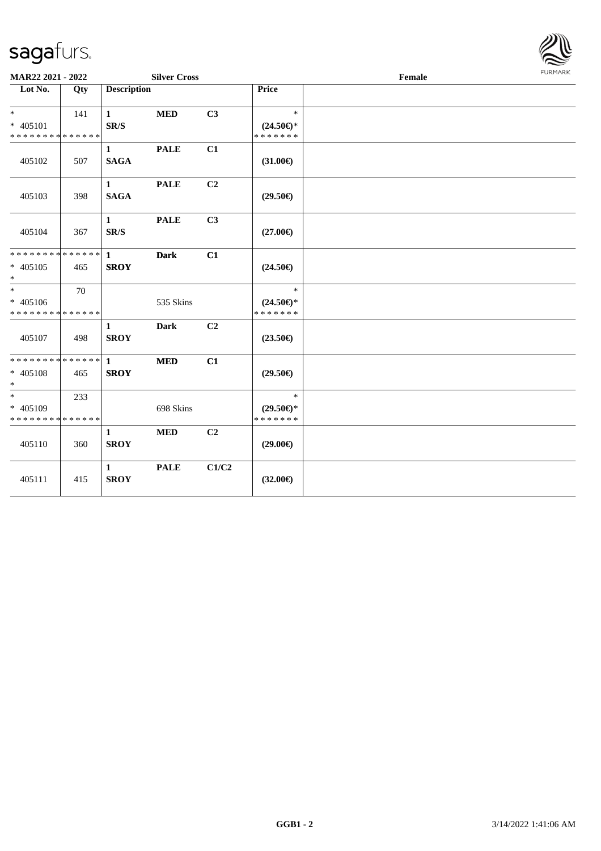

| MAR22 2021 - 2022                                  |     |                             | <b>Silver Cross</b> |                |                                                | Female | <b>FURPIARR</b> |
|----------------------------------------------------|-----|-----------------------------|---------------------|----------------|------------------------------------------------|--------|-----------------|
| Lot No.                                            | Qty | <b>Description</b>          |                     |                | Price                                          |        |                 |
| $*$                                                | 141 | $\mathbf{1}$                | <b>MED</b>          | C <sub>3</sub> | $\ast$                                         |        |                 |
| * 405101<br>* * * * * * * * * * * * * *            |     | SR/S                        |                     |                | $(24.50\epsilon)$ *<br>* * * * * * *           |        |                 |
| 405102                                             | 507 | $\mathbf{1}$<br><b>SAGA</b> | <b>PALE</b>         | C1             | $(31.00\epsilon)$                              |        |                 |
| 405103                                             | 398 | $\mathbf{1}$<br><b>SAGA</b> | <b>PALE</b>         | C2             | $(29.50\epsilon)$                              |        |                 |
| 405104                                             | 367 | $\mathbf{1}$<br>SR/S        | <b>PALE</b>         | C3             | $(27.00\epsilon)$                              |        |                 |
| * 405105<br>$*$                                    | 465 | <b>SROY</b>                 | <b>Dark</b>         | C1             | $(24.50\epsilon)$                              |        |                 |
| $*$<br>$* 405106$<br>* * * * * * * * * * * * * * * | 70  |                             | 535 Skins           |                | $\ast$<br>$(24.50\epsilon)$ *<br>* * * * * * * |        |                 |
| 405107                                             | 498 | $\mathbf{1}$<br><b>SROY</b> | <b>Dark</b>         | C <sub>2</sub> | $(23.50\epsilon)$                              |        |                 |
| * * * * * * * * * * * * * * *<br>* 405108<br>$*$   | 465 | $\mathbf{1}$<br><b>SROY</b> | <b>MED</b>          | C1             | $(29.50\epsilon)$                              |        |                 |
| $\ast$<br>* 405109<br>* * * * * * * * * * * * * *  | 233 |                             | 698 Skins           |                | $\ast$<br>$(29.50\epsilon)$ *<br>* * * * * * * |        |                 |
| 405110                                             | 360 | $\mathbf{1}$<br><b>SROY</b> | $\bf MED$           | C <sub>2</sub> | $(29.00\epsilon)$                              |        |                 |
| 405111                                             | 415 | $\mathbf{1}$<br><b>SROY</b> | <b>PALE</b>         | C1/C2          | $(32.00\epsilon)$                              |        |                 |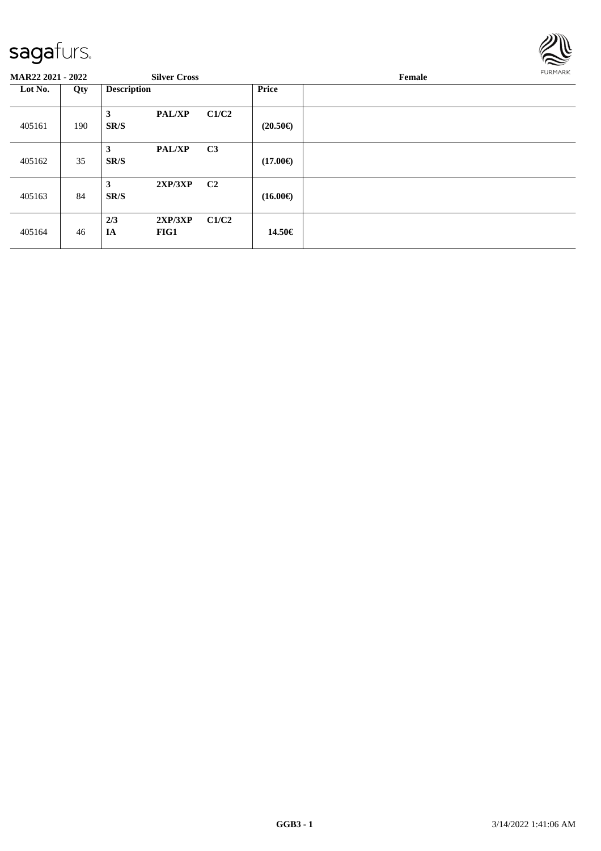

| <b>MAR22 2021 - 2022</b> |     | <b>Silver Cross</b> |                 |                | <b>FURMARK</b><br>Female |  |  |
|--------------------------|-----|---------------------|-----------------|----------------|--------------------------|--|--|
| Lot No.                  | Qty | <b>Description</b>  |                 |                | <b>Price</b>             |  |  |
| 405161                   | 190 | 3<br>SR/S           | <b>PAL/XP</b>   | C1/C2          | $(20.50\epsilon)$        |  |  |
| 405162                   | 35  | 3<br>SR/S           | <b>PAL/XP</b>   | C <sub>3</sub> | $(17.00\epsilon)$        |  |  |
| 405163                   | 84  | 3<br>SR/S           | 2XP/3XP         | C2             | $(16.00\epsilon)$        |  |  |
| 405164                   | 46  | 2/3<br>IA           | 2XP/3XP<br>FIG1 | C1/C2          | 14.50€                   |  |  |